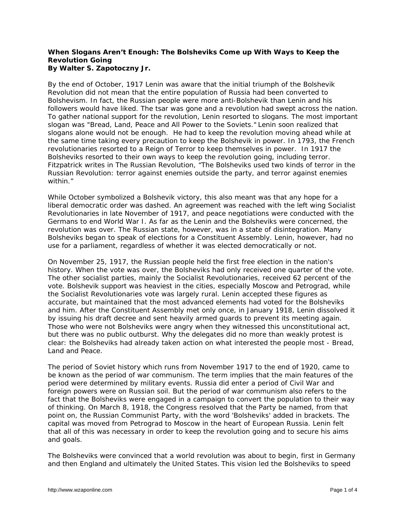## **When Slogans Aren't Enough: The Bolsheviks Come up With Ways to Keep the Revolution Going By Walter S. Zapotoczny Jr.**

By the end of October, 1917 Lenin was aware that the initial triumph of the Bolshevik Revolution did not mean that the entire population of Russia had been converted to Bolshevism. In fact, the Russian people were more anti-Bolshevik than Lenin and his followers would have liked. The tsar was gone and a revolution had swept across the nation. To gather national support for the revolution, Lenin resorted to slogans. The most important slogan was "Bread, Land, Peace and All Power to the Soviets." Lenin soon realized that slogans alone would not be enough. He had to keep the revolution moving ahead while at the same time taking every precaution to keep the Bolshevik in power. In 1793, the French revolutionaries resorted to a Reign of Terror to keep themselves in power. In 1917 the Bolsheviks resorted to their own ways to keep the revolution going, including terror. Fitzpatrick writes in *The Russian Revolution*, "The Bolsheviks used two kinds of terror in the Russian Revolution: terror against enemies outside the party, and terror against enemies within."

While October symbolized a Bolshevik victory, this also meant was that any hope for a liberal democratic order was dashed. An agreement was reached with the left wing Socialist Revolutionaries in late November of 1917, and peace negotiations were conducted with the Germans to end World War I. As far as the Lenin and the Bolsheviks were concerned, the revolution was over. The Russian state, however, was in a state of disintegration. Many Bolsheviks began to speak of elections for a Constituent Assembly. Lenin, however, had no use for a parliament, regardless of whether it was elected democratically or not.

On November 25, 1917, the Russian people held the first free election in the nation's history. When the vote was over, the Bolsheviks had only received one quarter of the vote. The other socialist parties, mainly the Socialist Revolutionaries, received 62 percent of the vote. Bolshevik support was heaviest in the cities, especially Moscow and Petrograd, while the Socialist Revolutionaries vote was largely rural. Lenin accepted these figures as accurate, but maintained that the most advanced elements had voted for the Bolsheviks and him. After the Constituent Assembly met only once, in January 1918, Lenin dissolved it by issuing his draft decree and sent heavily armed guards to prevent its meeting again. Those who were not Bolsheviks were angry when they witnessed this unconstitutional act, but there was no public outburst. Why the delegates did no more than weakly protest is clear: the Bolsheviks had already taken action on what interested the people most - Bread, Land and Peace.

The period of Soviet history which runs from November 1917 to the end of 1920, came to be known as the period of war communism. The term implies that the main features of the period were determined by military events. Russia did enter a period of Civil War and foreign powers were on Russian soil. But the period of war communism also refers to the fact that the Bolsheviks were engaged in a campaign to convert the population to their way of thinking. On March 8, 1918, the Congress resolved that the Party be named, from that point on, the Russian Communist Party, with the word 'Bolsheviks' added in brackets. The capital was moved from Petrograd to Moscow in the heart of European Russia. Lenin felt that all of this was necessary in order to keep the revolution going and to secure his aims and goals.

The Bolsheviks were convinced that a world revolution was about to begin, first in Germany and then England and ultimately the United States. This vision led the Bolsheviks to speed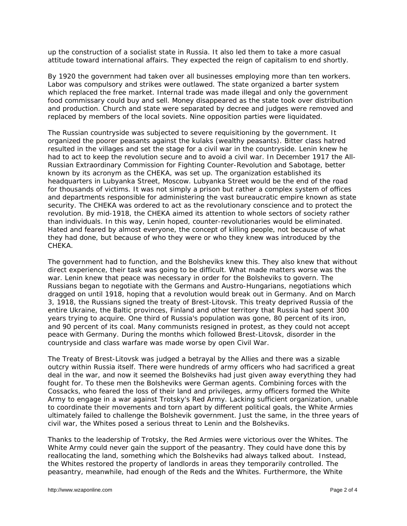up the construction of a socialist state in Russia. It also led them to take a more casual attitude toward international affairs. They expected the reign of capitalism to end shortly.

By 1920 the government had taken over all businesses employing more than ten workers. Labor was compulsory and strikes were outlawed. The state organized a barter system which replaced the free market. Internal trade was made illegal and only the government food commissary could buy and sell. Money disappeared as the state took over distribution and production. Church and state were separated by decree and judges were removed and replaced by members of the local soviets. Nine opposition parties were liquidated.

The Russian countryside was subjected to severe requisitioning by the government. It organized the poorer peasants against the *kulaks* (wealthy peasants). Bitter class hatred resulted in the villages and set the stage for a civil war in the countryside. Lenin knew he had to act to keep the revolution secure and to avoid a civil war. In December 1917 the All-Russian Extraordinary Commission for Fighting Counter-Revolution and Sabotage, better known by its acronym as the CHEKA, was set up. The organization established its headquarters in Lubyanka Street, Moscow. Lubyanka Street would be the end of the road for thousands of victims. It was not simply a prison but rather a complex system of offices and departments responsible for administering the vast bureaucratic empire known as state security. The CHEKA was ordered to act as the revolutionary conscience and to protect the revolution. By mid-1918, the CHEKA aimed its attention to whole sectors of society rather than individuals. In this way, Lenin hoped, counter-revolutionaries would be eliminated. Hated and feared by almost everyone, the concept of killing people, not because of what they had done, but because of who they were or who they knew was introduced by the CHEKA.

The government had to function, and the Bolsheviks knew this. They also knew that without direct experience, their task was going to be difficult. What made matters worse was the war. Lenin knew that peace was necessary in order for the Bolsheviks to govern. The Russians began to negotiate with the Germans and Austro-Hungarians, negotiations which dragged on until 1918, hoping that a revolution would break out in Germany. And on March 3, 1918, the Russians signed the treaty of Brest-Litovsk. This treaty deprived Russia of the entire Ukraine, the Baltic provinces, Finland and other territory that Russia had spent 300 years trying to acquire. One third of Russia's population was gone, 80 percent of its iron, and 90 percent of its coal. Many communists resigned in protest, as they could not accept peace with Germany. During the months which followed Brest-Litovsk, disorder in the countryside and class warfare was made worse by open Civil War.

The Treaty of Brest-Litovsk was judged a betrayal by the Allies and there was a sizable outcry within Russia itself. There were hundreds of army officers who had sacrificed a great deal in the war, and now it seemed the Bolsheviks had just given away everything they had fought for. To these men the Bolsheviks were German agents. Combining forces with the Cossacks, who feared the loss of their land and privileges, army officers formed the White Army to engage in a war against Trotsky's Red Army. Lacking sufficient organization, unable to coordinate their movements and torn apart by different political goals, the White Armies ultimately failed to challenge the Bolshevik government. Just the same, in the three years of civil war, the Whites posed a serious threat to Lenin and the Bolsheviks.

Thanks to the leadership of Trotsky, the Red Armies were victorious over the Whites. The White Army could never gain the support of the peasantry. They could have done this by reallocating the land, something which the Bolsheviks had always talked about. Instead, the Whites restored the property of landlords in areas they temporarily controlled. The peasantry, meanwhile, had enough of the Reds and the Whites. Furthermore, the White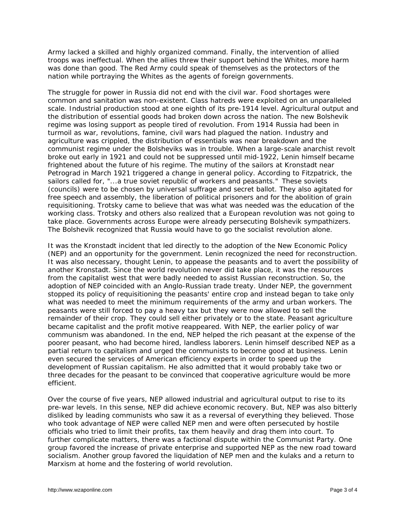Army lacked a skilled and highly organized command. Finally, the intervention of allied troops was ineffectual. When the allies threw their support behind the Whites, more harm was done than good. The Red Army could speak of themselves as the protectors of the nation while portraying the Whites as the agents of foreign governments.

The struggle for power in Russia did not end with the civil war. Food shortages were common and sanitation was non-existent. Class hatreds were exploited on an unparalleled scale. Industrial production stood at one eighth of its pre-1914 level. Agricultural output and the distribution of essential goods had broken down across the nation. The new Bolshevik regime was losing support as people tired of revolution. From 1914 Russia had been in turmoil as war, revolutions, famine, civil wars had plagued the nation. Industry and agriculture was crippled, the distribution of essentials was near breakdown and the communist regime under the Bolsheviks was in trouble. When a large-scale anarchist revolt broke out early in 1921 and could not be suppressed until mid-1922, Lenin himself became frightened about the future of his regime. The mutiny of the sailors at Kronstadt near Petrograd in March 1921 triggered a change in general policy. According to Fitzpatrick, the sailors called for, "...a true soviet republic of workers and peasants." These soviets (councils) were to be chosen by universal suffrage and secret ballot. They also agitated for free speech and assembly, the liberation of political prisoners and for the abolition of grain requisitioning. Trotsky came to believe that was what was needed was the education of the working class. Trotsky and others also realized that a European revolution was not going to take place. Governments across Europe were already persecuting Bolshevik sympathizers. The Bolshevik recognized that Russia would have to go the socialist revolution alone.

It was the Kronstadt incident that led directly to the adoption of the New Economic Policy (NEP) and an opportunity for the government. Lenin recognized the need for reconstruction. It was also necessary, thought Lenin, to appease the peasants and to avert the possibility of another Kronstadt. Since the world revolution never did take place, it was the resources from the capitalist west that were badly needed to assist Russian reconstruction. So, the adoption of NEP coincided with an Anglo-Russian trade treaty. Under NEP, the government stopped its policy of requisitioning the peasants' entire crop and instead began to take only what was needed to meet the minimum requirements of the army and urban workers. The peasants were still forced to pay a heavy tax but they were now allowed to sell the remainder of their crop. They could sell either privately or to the state. Peasant agriculture became capitalist and the profit motive reappeared. With NEP, the earlier policy of war communism was abandoned. In the end, NEP helped the rich peasant at the expense of the poorer peasant, who had become hired, landless laborers. Lenin himself described NEP as a partial return to capitalism and urged the communists to become good at business. Lenin even secured the services of American efficiency experts in order to speed up the development of Russian capitalism. He also admitted that it would probably take two or three decades for the peasant to be convinced that cooperative agriculture would be more efficient.

Over the course of five years, NEP allowed industrial and agricultural output to rise to its pre-war levels. In this sense, NEP did achieve economic recovery. But, NEP was also bitterly disliked by leading communists who saw it as a reversal of everything they believed. Those who took advantage of NEP were called NEP men and were often persecuted by hostile officials who tried to limit their profits, tax them heavily and drag them into court. To further complicate matters, there was a factional dispute within the Communist Party. One group favored the increase of private enterprise and supported NEP as the new road toward socialism. Another group favored the liquidation of NEP men and the *kulaks* and a return to Marxism at home and the fostering of world revolution.